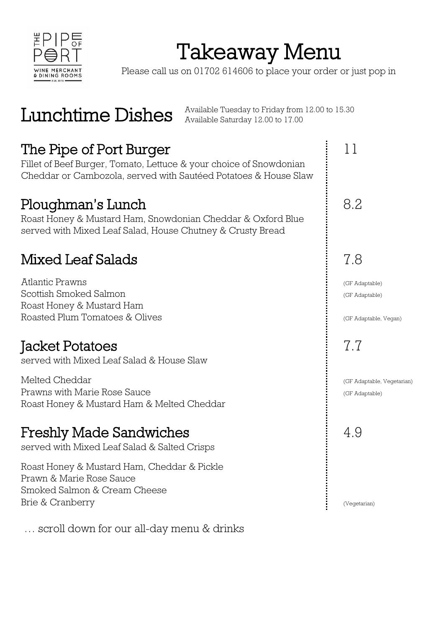

## Takeaway Menu

Please call us on 01702 614606 to place your order or just pop in

 $\rm Lunchtime~Dishes$  Available Tuesday to Friday from 12.00 to 15.30  $\rm K}$  Available Saturday 12.00 to 17.00 Available Saturday 12.00 to 17.00

### The Pipe of Port Burger The Pipe of Port Burger

Fillet of Beef Burger, Tomato, Lettuce & your choice of Snowdonian Cheddar or Cambozola, served with Sautéed Potatoes & House Slaw

### Ploughman's Lunch and Books and Books and Books and Books and Books and Books and Books and Books and Books and Books and Books and Books and Books and Books and Books and Books and Books and Books and Books and Books and

Roast Honey & Mustard Ham, Snowdonian Cheddar & Oxford Blue served with Mixed Leaf Salad, House Chutney & Crusty Bread

# Mixed Leaf Salads 7.8<br>Atlantic Prawns

Atlantic Prawns (GF Adaptable) Scottish Smoked Salmon (GF Adaptable) Roast Honey & Mustard Ham Roasted Plum Tomatoes & Olives (GF Adaptable, Vegan)

### Jacket Potatoes **7.7**

served with Mixed Leaf Salad & House Slaw

Melted Cheddar (GF Adaptable, Vegetarian) Prawns with Marie Rose Sauce (GF Adaptable)  $\qquad \qquad$  (GF Adaptable) Roast Honey & Mustard Ham & Melted Cheddar

### Freshly Made Sandwiches **Freshly Made Sandwiches** 4.9

served with Mixed Leaf Salad & Salted Crisps

Roast Honey & Mustard Ham, Cheddar & Pickle Prawn & Marie Rose Sauce Smoked Salmon & Cream Cheese Brie & Cranberry (Vegetarian)

… scroll down for our all-day menu & drinks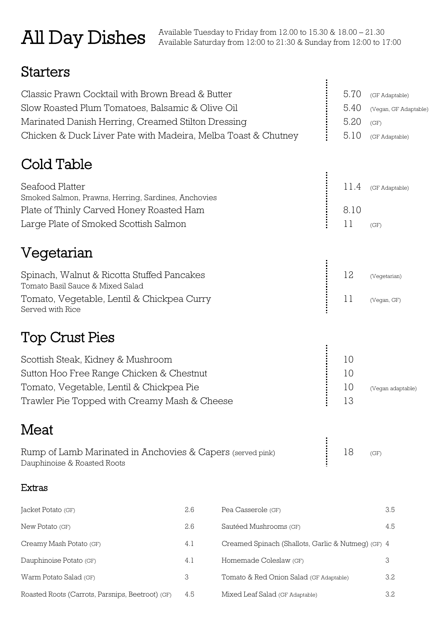### All Day Dishes

### **Starters**

| Classic Prawn Cocktail with Brown Bread & Butter                               | 5.70 | (GF Adaptable)        |
|--------------------------------------------------------------------------------|------|-----------------------|
| Slow Roasted Plum Tomatoes, Balsamic & Olive Oil                               | 5.40 | (Vegan, GF Adaptable) |
| Marinated Danish Herring, Creamed Stilton Dressing                             | 5.20 | (GF)                  |
| Chicken & Duck Liver Pate with Madeira, Melba Toast & Chutney                  | 5.10 | (GF Adaptable)        |
| Cold Table                                                                     |      |                       |
| Seafood Platter                                                                | 11.4 |                       |
| Smoked Salmon, Prawns, Herring, Sardines, Anchovies                            |      | (GF Adaptable)        |
| Plate of Thinly Carved Honey Roasted Ham                                       | 8.10 |                       |
| Large Plate of Smoked Scottish Salmon                                          | 11   | (GF)                  |
| Vegetarian                                                                     |      |                       |
|                                                                                |      |                       |
| Spinach, Walnut & Ricotta Stuffed Pancakes<br>Tomato Basil Sauce & Mixed Salad | 12   | (Vegetarian)          |
| Tomato, Vegetable, Lentil & Chickpea Curry                                     | 11   | (Vegan, GF)           |
| Served with Rice                                                               |      |                       |
| <b>Top Crust Pies</b>                                                          |      |                       |
|                                                                                |      |                       |
| Scottish Steak, Kidney & Mushroom                                              | 10   |                       |
| Sutton Hoo Free Range Chicken & Chestnut                                       | 10   |                       |
| Tomato, Vegetable, Lentil & Chickpea Pie                                       | 10   | (Vegan adaptable)     |
| Trawler Pie Topped with Creamy Mash & Cheese                                   | 13   |                       |
| Meat                                                                           |      |                       |
| Rump of Lamb Marinated in Anchovies & Capers (served pink)                     | 18   | (GF)                  |
| Dauphinoise & Roasted Roots                                                    |      |                       |

#### Extras

| Jacket Potato (GF)                               | 2.6 | Pea Casserole (GF)                                 | 3.5 |
|--------------------------------------------------|-----|----------------------------------------------------|-----|
| New Potato (GF)                                  | 2.6 | Sautéed Mushrooms (GF)                             | 4.5 |
| Creamy Mash Potato (GF)                          | 4.1 | Creamed Spinach (Shallots, Garlic & Nutmeg) (GF) 4 |     |
| Dauphinoise Potato (GF)                          | 4.1 | Homemade Coleslaw (GF)                             | 3   |
| Warm Potato Salad (GF)                           | 3   | Tomato & Red Onion Salad (GF Adaptable)            | 3.2 |
| Roasted Roots (Carrots, Parsnips, Beetroot) (GF) | 4.5 | Mixed Leaf Salad (GF Adaptable)                    | 3.2 |